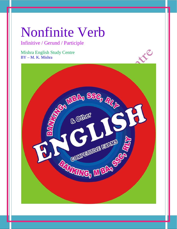Infinitive / Gerund / Participle

Mishra English Study Centre BY – M. K. Mishra

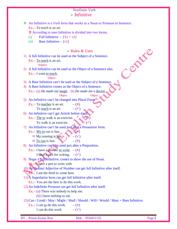## Nonfinite Verb  $\triangleright$  Infinitive

| An Infinitive is a Verb form that works as a Noun or Pronoun in Sentence.<br>❖                                       |  |
|----------------------------------------------------------------------------------------------------------------------|--|
| Ex.:- To teach is an art.                                                                                            |  |
| • According to uses Infinitive is divided into two forms.                                                            |  |
| Full Infinitive - $[To + v1]$<br>(i)                                                                                 |  |
| <b>Bare Infinitive -</b> [v1]<br>(ii)                                                                                |  |
| $\triangleright$ Rules & Uses                                                                                        |  |
| A full Infinitive can be used as the Subject of a Sentence.<br>1)                                                    |  |
| Ex.:- To teach is an art.                                                                                            |  |
| Subject                                                                                                              |  |
| A full Infinitive can be used as the Object of a Sentence also.<br>2)                                                |  |
| Ex.:- I want to teach.<br>Object                                                                                     |  |
| 3) A Bare Infinitive can't be used as the Subject of a Sentence.                                                     |  |
| A Bare Infinitive comes as the Object of a Sentence.<br>4)                                                           |  |
| Ex.:- (a) He made me <u>laugh</u> . (b) He made me a <u>doctor</u>                                                   |  |
| Object<br>Object                                                                                                     |  |
| An Infinitive can't be changed into Plural Form.<br>5)                                                               |  |
| Ex.:- To teaches is an art.<br>$ (x)$                                                                                |  |
| To teach is an art.<br>$-(\checkmark)$                                                                               |  |
| An Infinitive can't get Article before itself.<br>6)                                                                 |  |
| Ex.:- The to walk is an exercise.                                                                                    |  |
| To walk is an exercise.                                                                                              |  |
| An Infinitive can't be used just after a Possessive form.<br>7)                                                      |  |
| Ex.:- My to run is fast.                                                                                             |  |
| $\Rightarrow$ My running is fast<br>$-(\checkmark)$                                                                  |  |
| $\Rightarrow$ To run is fast.<br>$-$ ( $\mathbf{x})$                                                                 |  |
| 8) An Infinitive can't be used just after a Preposition.                                                             |  |
| Ex.:- I have a pen for to write. $-$ ( $\star$ )                                                                     |  |
| I have a pen for writing. $-(\checkmark)$                                                                            |  |
| 9) Noun $\pm$ full Infinitive, comes to show the use of Noun.                                                        |  |
| $Ex$ : A have a pen to write with.                                                                                   |  |
| 10) An Ordinal Adjective of Number can get full Infinitive after itself.                                             |  |
| $Ex.:$ I am the third to come here.                                                                                  |  |
| 11) <sup>'</sup> A Superlative form can get full Infinitive after itself.<br>Ex.:- You are the best to do this work. |  |
| 12) An Indefinite Pronoun can get full Infinitive after itself.                                                      |  |
| Ex.:- (a) There was nobody to help me.                                                                               |  |
| (b) I have nothing to eat.                                                                                           |  |
| 13) Can / Could / May / Might / Shall / Should / Will / Would / Must + Bare Infinitive.                              |  |
| Ex.:- I can to do this work.<br>$ (x)$                                                                               |  |
| $-(\checkmark)$<br>I can do this work.                                                                               |  |
|                                                                                                                      |  |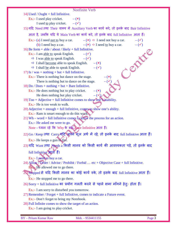| Nonfinite Verb                                                                                                          |
|-------------------------------------------------------------------------------------------------------------------------|
| 14) Used / Ought $+$ full Infinitive.                                                                                   |
| Ex.:- I used play cricket.<br>$-$ ( $\mathbf{x}$ )                                                                      |
| I used <u>to</u> play cricket. $-(\checkmark)$                                                                          |
| 15)यदि Need तथा Their वाक्य में Auxiliary Verb का कार्य करे, तो इनके बाद Bair Infinitive                                |
| आता है, जबकि यदि ये Main Verb का कार्य करे, तो इनके बाद full Infinitive आता हैं।                                        |
| Ex.:- (a) I need <u>not to</u> buy a car. $-(\star) \Rightarrow$ I need not buy a car.<br>$-(\checkmark)$               |
| $-({\bf x}) \Rightarrow I$ need to buy a car.<br>$-$ ( $\checkmark$ )<br>(b) I need buy a car.                          |
| 16) Be form + able / about / likely + full Infinitive.                                                                  |
| Ex.:- I am <u>able to</u> speak English. $-(\checkmark)$                                                                |
| $\Rightarrow$ I was <u>able to</u> speak English. $-(\checkmark)$                                                       |
| $\Rightarrow$ I shall become able to speak English. $-(\ast)$                                                           |
| $-(\checkmark)$<br>$\Rightarrow$ I shall be able to speak English.                                                      |
| $17$ ) Is / was + nothing + but + full Infinitive.                                                                      |
| Ex.:- There is nothing but dance on the stage.<br>$ (x)$                                                                |
| There is nothing but to dance on the stage.                                                                             |
| $18$ ) Do / Does + nothing + but + Bare Infinitive.                                                                     |
| Ex.:- He does nothing but to play cricket.<br>$ (x)$                                                                    |
| He does nothing but play cricket.<br>$-(\sqrt{2})$                                                                      |
| $19)$ Too + Adjective + full Infinitive comes to show one sinability.<br>Ex.:- He is too weak to walk.                  |
|                                                                                                                         |
| $20$ ) Adjective + enough + full Infinitive, comes to show one's ability.<br>Ex.:- Ram is smart enough to do this work. |
| $21$ ) Wh – word + full Infinitive comes to know the process for an action.                                             |
| Ex.:- He asked me were to go.                                                                                           |
| Note - ध्यान रहे कि Why के बाद Bare Infinitive आता हैं।                                                                 |
| 22) Go / Keep तथा Carry यदि अपने मूल अर्थ में रहे, तो इनके बाद full Infinitive आता हैं।                                 |
| Ex.:- He keeps a gun to fire.                                                                                           |
| 23) यदि Want तथा Needs a किसी मानव को किसी कार्य की आवश्यकता पड़े, तो इनके बाद                                          |
|                                                                                                                         |
| full Infinitive अपना है।                                                                                                |
| Ex.:- I need to buy a car.                                                                                              |
| 24) Allow / Order / Advise / Prohibit / Forbid  etc + Objective Case + full Infinitive.                                 |
| <b>Ex.</b> He allowed me to go there.                                                                                   |
| 25) Stopped से यदि किसी मानव का कोई कार्य रुके, तो इसके बाद full Infinitive आता हैं।                                    |
| Ex.:- He stopped me to go there.                                                                                        |
| 26) Sorry + full Infinitive का प्रयोग गलती करने से पहले क्षमा माँगने हेतुः होता हैं।                                    |
| Ex.:- I am sorry to disturbed you tomorrow.                                                                             |
| 27) Remember / Forget + full Infinitive, comes to indicate a Future event.                                              |
| Ex.:- Don't forget to bring my Notebook.                                                                                |
| 28) Full Infinite comes to show the target of an action.                                                                |
| Ex.:- I am going to play cricket.                                                                                       |
|                                                                                                                         |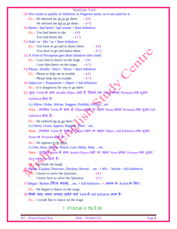| Nonfinite Verb                                                                                 |
|------------------------------------------------------------------------------------------------|
| 29) Not comes to qualify an Infinitive in Negative sense, no is not used for it.               |
| Ex.:- He advised me $\underline{\text{no to}}$ go there.<br>$-({\bf x})$                       |
| He advised me not to go there.<br>$-(\checkmark)$                                              |
| 30) Better / had better / had sooner + Bare Infinitive.                                        |
| Ex.:- You had better to die.<br>$ (x)$                                                         |
| You had better die.<br>$-(\checkmark)$                                                         |
| 31) And / or / like / $as + Bar$ e Infinitive.                                                 |
| Ex.:- You have to go and to dance there.<br>$ (\mathbf{x})$                                    |
| $ (\checkmark)$<br>You have to go and dance there.                                             |
| 32) A Verb of Perception gets Bare Infinitive after itself.                                    |
| LEE<br>Ex.:- I saw him to dance on the stage. $-$ ( $\ast$ )                                   |
| I saw him dance on the stage.<br>$-(\checkmark)$                                               |
| 33) Please / Kindly / Don't / Never + Bare Infinitive.                                         |
| Ex.:- Please to help me in trouble.<br>$-(x)$<br>Please help me in trouble.<br>$-(\checkmark)$ |
| $34)$ Adjective + Preposition + Object + full Infinitive.                                      |
| Ex.:- It is dangerous for you to go there.                                                     |
| 35) कुछ Verbs के साथ double Object आते हैं, जिनमे एक Noun अथवा Pronoun तथा दूसरा               |
|                                                                                                |
| Infinitive होता हैं।                                                                           |
| (a) Allow, Order, Advise, Suggest, Prohibit, Forbid)etc.                                       |
| Note - उपरोक्त Verbs के साथ दो Object रहने पर पहला Noun अथवा Pronoun तथा दूसरा full            |
| Infinitive होता हैं।                                                                           |
| Ex.:- He ordered <u>me to go</u> there.                                                        |
| (b) Seem, Loom, Appear, Happen, Tend etc.                                                      |
| Note – उपरोक्त Verbs के साथ दो Object रहने पर पहला Object, full Infinitive तथा दूसरा           |
| Noun या Pronoun होता है।                                                                       |
| Ex.:- He appears to be Ram.                                                                    |
| (c) See, Hear, Notice, Watch, Late, Make, Help etc.                                            |
| Note - उपरोक्त Verbs के साथ double Objects रहने पर पहला Noun अथवा Pronoun तथा दूसरा            |
| Bare Infinitive रहता है।                                                                       |
| Ex.:- He made me laugh.                                                                        |
| 36) Know, Explain, Discover, Disclose, Reveal etc. + Wh. - Words + full Infinitive.            |
| Ex.:- I know to solve the Question.<br>$-({\bf x})$                                            |
| I know how to solve the Question.<br>$-(\checkmark)$                                           |
| 37) Begin / Bother (चिंता करना) etc. + full Infinitive. ⇒ [मानव के Action के लिए]              |
| Ex.:- He began to dance on the stage.                                                          |
| 38) किसी पसंद अथवा नापसंद दर्शाने वाले Verb में full Infinitive आता हैं।                       |
| Ex.:- I would like to dance on the stage.                                                      |
| I nfinitive is the End.                                                                        |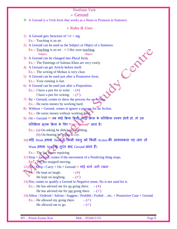### $\triangleright$  Gerund

A Gerund is a Verb form that works as a Noun or Pronoun in Sentence.

#### $\triangleright$  Rules & Uses

- 1) A Gerund gets Structure of 'v1 + ing. Ex.:- Teaching is an art.
- 2) A Gerund can be used as the Subject or Object of a Sentence.
	- Ex.:- Teaching is an art.  $\Rightarrow$  I like your teaching. Subject Object
- 3) A Gerund can be changed into Plural form. Ex.:- The Paintings of Salman Khan are very costly.
- 4) A Gerund can get Article before itself. Ex.:- The writing of Mohan is very clear.
- 5) A Gerund can be used just after a Possessive form. Ex.:- Your running is fast.
- 6) A Gerund can be used just after a Preposition. Ex.:- I have a pen for to write.  $-$  ( $\star$ )
	- I have a pen for writing.  $-(\checkmark)$
- 7) By + Gerund, comes to show the process for an Action. Ex.:- He earns money by working hard.
- 8) Without + Gerund, comes to ignore a process for an Action. Ex.:- He earns money without working hard.
- 9)  $On + Gerund \Rightarrow$  जब कोई क्रिया किसी अन्यू क्रिया के प्रतिक्रिया स्वरूप होती हो, तो उस

प्रतिक्रिया सूचक क्रिया के लिए "On + Gerund" आता हैं।

Ex.:- (a) On asking he didn't say anything.

- (b) On beating he began to cry.
- 10)यदि Want अथवा Need से बिसी वस्तु को किसी Action की आवश्यकता पड़ जाए तो

Want अथवा Need के तुरंत बाद Gerund आता हैं।

Ex.:- The fan wants repairing.

11) Stop + Gerund, comes if the movement of a Nonliving thing stops.

- $Ex_{\mathbb{Z}}^{\mathbb{R}}$ . The fan stopped moving.
- $12)$  Go / Keep / Carry + On + Gerund  $\Rightarrow$  कोई कार्य जारी रखना
	- **Ex.:** He kept on laugh.  $-$  ( $\star$ )
		- He kept on laughing.  $-$  ( $\checkmark$ )

13) Not, comes to qualify a Gerund in Negative sense, No is not used for it.

- Ex.:- He has advised me for no going there.  $-$  ( $\star$ )
	- He has advised me for not going there.  $-(\checkmark)$
- 14) Allow / Ordered / Advise / Suggest / Prohibit / Forbid …etc. + Possessive Case + Gerund.

Ex.:- He allowed my going there.  $-$  ( $\checkmark$ ) He allowed me to go.  $-$  ( $\checkmark$ )

Centre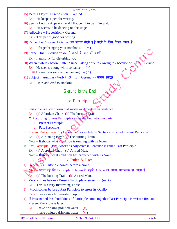15) Verb + Object + Preposition + Gerund.

Ex.:- He keeps a pen for writing.

16) Seem / Loom / Appear / Tend / Happen + to be + Gerund.

Ex.:- He seems to be dancing on the stage.

17) Adjective + Preposition + Gerund.

Ex.:- This pen is good for writing.

18) Remember / Forget + Gerund का प्रयोग बीती हुई बातों के लिए किया जाता हैं।

Ex.:- I forget bringing your notebook.  $-(\checkmark)$ 

 $19$ ) Sorry + for + Gerund  $\Leftrightarrow$  गलती करने के बाद की माफी

Ex.:- I am sorry for disturbing you.

20) When / while / before / after / since / along / due to / owing to / because of …etc + Gerund.

Ex.:- He seems a song while to dance.  $-$  ( $\star$ )

 $\Rightarrow$  He seems a song while dancing.  $-(\checkmark)$ 

21) Subject + Auxiliary Verb +  $v3 + to +$  Gerund.  $\Rightarrow$  खराब आदत

Ex.:- He is addicted to smoking.

Gerund is the End.

# $\triangleright$  Participle

 Participle is a Verb form that works as Adjective in Sentence. Ex.:- (a) A <u>broken Chair</u>. (b) The burning Train.

• According to uses Participle can be divided into two parts.

- 1. Present Participle
- 2. Past Participle
- $\cdot \cdot$  Present Participle If 'y1  $\pm$  ing' works as Adj. in Sentence is called Present Participle. Ex.:- (a) A running  $B_0y$  (b) The burning Train.

Note – It shows what condition is running with its Noun.

 $\bullet$  Past Participle – If  $\sqrt{3}$  works as Adjective in Sentence is called Past Participle. Ex.:- (a) A broken Chair. (b) A tired Man.

Note – It shows what condition has happened with its Noun.

Rules & Uses

1) Generally a Participle comes before a Noun.

 $\text{Note} - \epsilon$ यान रहे कि Participle + Noun के पहले Article का आना आवश्यक हो जाता हैं।

Ex.:- (a) The burning Train. (b) A tired Man.

- 2) Very, comes before a Present Participle to stress its Quality. Ex.:- This is a very Interesting Topic.
- 3) Much comes before a Past Participle to stress its Quality. Ex.:- It was a much Interested Topic.
- 4) If Present and Past both kinds of Participle come together Past Participle is written first and Present Participle is later.

Ex.:- I have drinking polluted water.  $-$  ( $\star$ )

I have polluted drinking water.  $-(\checkmark)$ 

BY – Pritam Kumar Raw Mob. - 9534411155 Page 6